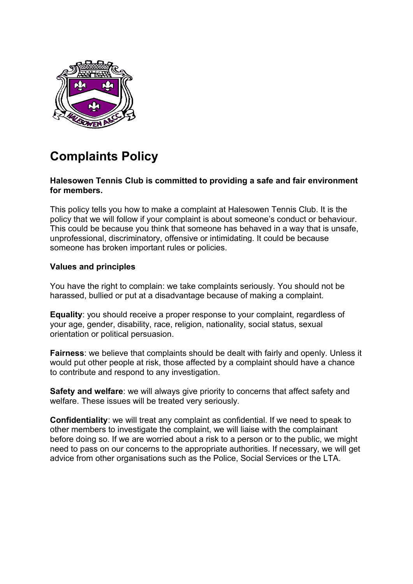

# **Complaints Policy**

## **Halesowen Tennis Club is committed to providing a safe and fair environment for members.**

This policy tells you how to make a complaint at Halesowen Tennis Club. It is the policy that we will follow if your complaint is about someone's conduct or behaviour. This could be because you think that someone has behaved in a way that is unsafe, unprofessional, discriminatory, offensive or intimidating. It could be because someone has broken important rules or policies.

# **Values and principles**

You have the right to complain: we take complaints seriously. You should not be harassed, bullied or put at a disadvantage because of making a complaint.

**Equality**: you should receive a proper response to your complaint, regardless of your age, gender, disability, race, religion, nationality, social status, sexual orientation or political persuasion.

**Fairness**: we believe that complaints should be dealt with fairly and openly. Unless it would put other people at risk, those affected by a complaint should have a chance to contribute and respond to any investigation.

**Safety and welfare**: we will always give priority to concerns that affect safety and welfare. These issues will be treated very seriously.

**Confidentiality**: we will treat any complaint as confidential. If we need to speak to other members to investigate the complaint, we will liaise with the complainant before doing so. If we are worried about a risk to a person or to the public, we might need to pass on our concerns to the appropriate authorities. If necessary, we will get advice from other organisations such as the Police, Social Services or the LTA.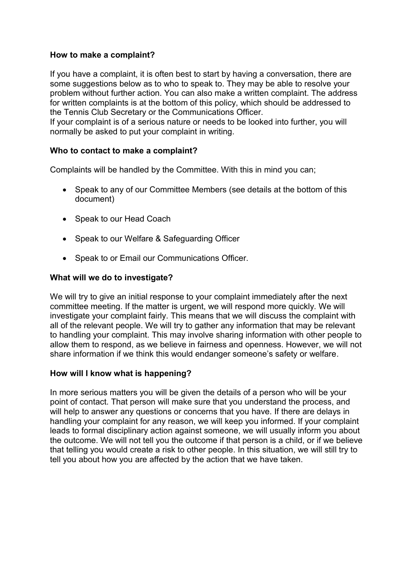## **How to make a complaint?**

If you have a complaint, it is often best to start by having a conversation, there are some suggestions below as to who to speak to. They may be able to resolve your problem without further action. You can also make a written complaint. The address for written complaints is at the bottom of this policy, which should be addressed to the Tennis Club Secretary or the Communications Officer.

If your complaint is of a serious nature or needs to be looked into further, you will normally be asked to put your complaint in writing.

## **Who to contact to make a complaint?**

Complaints will be handled by the Committee. With this in mind you can;

- Speak to any of our Committee Members (see details at the bottom of this document)
- Speak to our Head Coach
- Speak to our Welfare & Safeguarding Officer
- Speak to or Email our Communications Officer.

## **What will we do to investigate?**

We will try to give an initial response to your complaint immediately after the next committee meeting. If the matter is urgent, we will respond more quickly. We will investigate your complaint fairly. This means that we will discuss the complaint with all of the relevant people. We will try to gather any information that may be relevant to handling your complaint. This may involve sharing information with other people to allow them to respond, as we believe in fairness and openness. However, we will not share information if we think this would endanger someone's safety or welfare*.*

# **How will I know what is happening?**

In more serious matters you will be given the details of a person who will be your point of contact. That person will make sure that you understand the process, and will help to answer any questions or concerns that you have. If there are delays in handling your complaint for any reason, we will keep you informed. If your complaint leads to formal disciplinary action against someone, we will usually inform you about the outcome. We will not tell you the outcome if that person is a child, or if we believe that telling you would create a risk to other people. In this situation, we will still try to tell you about how you are affected by the action that we have taken.